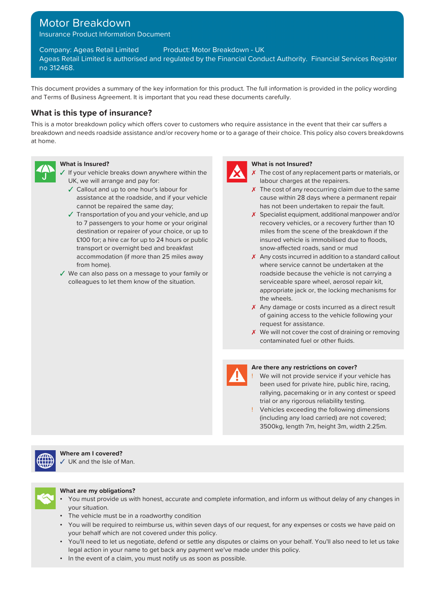# Motor Breakdown

Insurance Product Information Document

Company: Ageas Retail Limited Product: Motor Breakdown - UK Ageas Retail Limited is authorised and regulated by the Financial Conduct Authority. Financial Services Register no 312468.

This document provides a summary of the key information for this product. The full information is provided in the policy wording and Terms of Business Agreement. It is important that you read these documents carefully.

# **What is this type of insurance?**

This is a motor breakdown policy which offers cover to customers who require assistance in the event that their car suffers a breakdown and needs roadside assistance and/or recovery home or to a garage of their choice. This policy also covers breakdowns at home.



- $\checkmark$  If your vehicle breaks down anywhere within the UK, we will arrange and pay for:
	- Callout and up to one hour's labour for assistance at the roadside, and if your vehicle cannot be repaired the same day;
	- $\checkmark$  Transportation of you and your vehicle, and up to 7 passengers to your home or your original transport or overnight bed and breakfast snow-affected roads, sand or mud accommodation (if more than 25 miles away from home).
- colleagues to let them know of the situation. Serviceable spare wheel, aerosol repair kit,



#### **What is Insured? What is not Insured?**

- $\chi$  The cost of any replacement parts or materials, or labour charges at the repairers.
- $\chi$  The cost of any reoccurring claim due to the same cause within 28 days where a permanent repair has not been undertaken to repair the fault.
- X Specialist equipment, additional manpower and/or recovery vehicles, or a recovery further than 10 destination or repairer of your choice, or up to miles from the scene of the breakdown if the £100 for; a hire car for up to 24 hours or public insured vehicle is immobilised due to floods,
- ✗ Any costs incurred in addition to a standard callout where service cannot be undertaken at the ✓ We can also pass on a message to your family or roadside because the vehicle is not carrying a appropriate jack or, the locking mechanisms for the wheels.
	- X Any damage or costs incurred as a direct result of gaining access to the vehicle following your request for assistance.
	- ✗ We will not cover the cost of draining or removing contaminated fuel or other fluids.



# **Are there any restrictions on cover?**

- We will not provide service if your vehicle has been used for private hire, public hire, racing, rallying, pacemaking or in any contest or speed trial or any rigorous reliability testing.
- Vehicles exceeding the following dimensions (including any load carried) are not covered; 3500kg, length 7m, height 3m, width 2.25m.



# **Where am I covered?**

UK and the Isle of Man.



## **What are my obligations?**

- You must provide us with honest, accurate and complete information, and inform us without delay of any changes in your situation.
- The vehicle must be in a roadworthy condition
- You will be required to reimburse us, within seven days of our request, for any expenses or costs we have paid on your behalf which are not covered under this policy.
- You'll need to let us negotiate, defend or settle any disputes or claims on your behalf. You'll also need to let us take legal action in your name to get back any payment we've made under this policy.
- In the event of a claim, you must notify us as soon as possible.